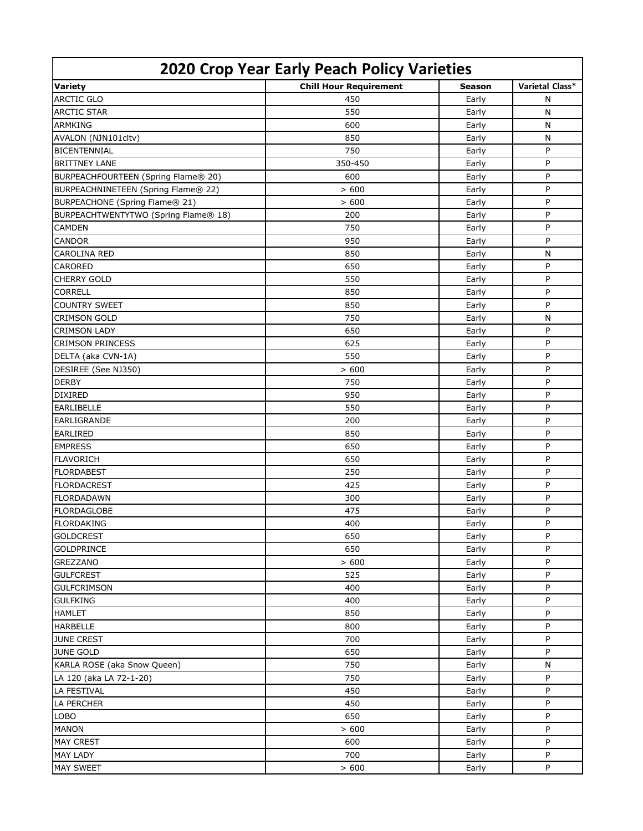| <b>2020 Crop Year Early Peach Policy Varieties</b> |                               |               |                 |  |  |
|----------------------------------------------------|-------------------------------|---------------|-----------------|--|--|
| <b>Variety</b>                                     | <b>Chill Hour Requirement</b> | <b>Season</b> | Varietal Class* |  |  |
| <b>ARCTIC GLO</b>                                  | 450                           | Early         | N               |  |  |
| <b>ARCTIC STAR</b>                                 | 550                           | Early         | $\mathsf{N}$    |  |  |
| <b>ARMKING</b>                                     | 600                           | Early         | $\mathsf{N}$    |  |  |
| AVALON (NJN101cltv)                                | 850                           | Early         | N               |  |  |
| <b>BICENTENNIAL</b>                                | 750                           | Early         | P               |  |  |
| <b>BRITTNEY LANE</b>                               | 350-450                       | Early         | P               |  |  |
| BURPEACHFOURTEEN (Spring Flame® 20)                | 600                           | Early         | P               |  |  |
| BURPEACHNINETEEN (Spring Flame® 22)                | >600                          | Early         | P               |  |  |
| BURPEACHONE (Spring Flame® 21)                     | > 600                         | Early         | P               |  |  |
| BURPEACHTWENTYTWO (Spring Flame® 18)               | 200                           | Early         | P               |  |  |
| <b>CAMDEN</b>                                      | 750                           | Early         | Þ               |  |  |
| <b>CANDOR</b>                                      | 950                           | Early         | P               |  |  |
| <b>CAROLINA RED</b>                                | 850                           | Early         | N               |  |  |
| CARORED                                            | 650                           | Early         | P               |  |  |
| <b>CHERRY GOLD</b>                                 | 550                           | Early         | P               |  |  |
| <b>CORRELL</b>                                     | 850                           | Early         | P               |  |  |
| <b>COUNTRY SWEET</b>                               | 850                           | Early         | P               |  |  |
| <b>CRIMSON GOLD</b>                                | 750                           | Early         | N               |  |  |
| <b>CRIMSON LADY</b>                                | 650                           | Early         | P               |  |  |
| <b>CRIMSON PRINCESS</b>                            | 625                           | Early         | P               |  |  |
| DELTA (aka CVN-1A)                                 | 550                           | Early         | P               |  |  |
| DESIREE (See NJ350)                                | > 600                         | Early         | P               |  |  |
| <b>DERBY</b>                                       | 750                           | Early         | P               |  |  |
| <b>DIXIRED</b>                                     | 950                           | Early         | P               |  |  |
| <b>EARLIBELLE</b>                                  | 550                           | Early         | P               |  |  |
| EARLIGRANDE                                        | 200                           | Early         | P               |  |  |
| <b>EARLIRED</b>                                    | 850                           | Early         | P               |  |  |
| <b>EMPRESS</b>                                     | 650                           | Early         | P               |  |  |
| <b>FLAVORICH</b>                                   | 650                           | Early         | P               |  |  |
| <b>FLORDABEST</b>                                  | 250                           | Early         | P               |  |  |
| <b>FLORDACREST</b>                                 | 425                           | Early         | P               |  |  |
| <b>FLORDADAWN</b>                                  | 300                           | Early         | P               |  |  |
| <b>FLORDAGLOBE</b>                                 | 475                           | Early         | P               |  |  |
| <b>FLORDAKING</b>                                  | 400                           | Early         | P               |  |  |
| <b>GOLDCREST</b>                                   | 650                           | Early         | P               |  |  |
| <b>GOLDPRINCE</b>                                  | 650                           | Early         | P               |  |  |
| <b>GREZZANO</b>                                    | > 600                         | Early         | P               |  |  |
| <b>GULFCREST</b>                                   | 525                           | Early         | P               |  |  |
| <b>GULFCRIMSON</b>                                 | 400                           | Early         | P               |  |  |
| <b>GULFKING</b>                                    | 400                           | Early         | P               |  |  |
| <b>HAMLET</b>                                      | 850                           | Early         | P               |  |  |
| <b>HARBELLE</b>                                    | 800                           | Early         | P               |  |  |
| <b>JUNE CREST</b>                                  | 700                           | Early         | P               |  |  |
| <b>JUNE GOLD</b>                                   | 650                           | Early         | P               |  |  |
| KARLA ROSE (aka Snow Queen)                        | 750                           | Early         | N               |  |  |
| LA 120 (aka LA 72-1-20)                            | 750                           | Early         | P               |  |  |
| LA FESTIVAL                                        | 450                           | Early         | P               |  |  |
| <b>LA PERCHER</b>                                  | 450                           | Early         | P               |  |  |
| <b>LOBO</b>                                        | 650                           | Early         | P               |  |  |
| <b>MANON</b>                                       | > 600                         | Early         | P               |  |  |
| <b>MAY CREST</b>                                   | 600                           | Early         | P               |  |  |
| <b>MAY LADY</b>                                    | 700                           | Early         | P               |  |  |
| <b>MAY SWEET</b>                                   | > 600                         | Early         | P               |  |  |